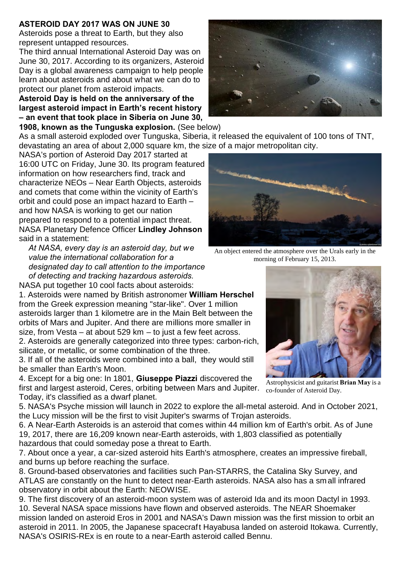## **ASTEROID DAY 2017 WAS ON JUNE 30**

Asteroids pose a threat to Earth, but they also represent untapped resources.

The third annual International Asteroid Day was on June 30, 2017. According to its organizers, Asteroid Day is a global awareness campaign to help people learn about asteroids and about what we can do to protect our planet from asteroid impacts.

**Asteroid Day is held on the anniversary of the largest asteroid impact in Earth's recent history – an event that took place in Siberia on June 30,**

**1908, known as the Tunguska explosion.** (See below)

As a small asteroid exploded over Tunguska, Siberia, it released the equivalent of 100 tons of TNT, devastating an area of about 2,000 square km, the size of a major metropolitan city.

NASA's portion of Asteroid Day 2017 started at 16:00 UTC on Friday, June 30. Its program featured information on how researchers find, track and characterize NEOs – Near Earth Objects, asteroids and comets that come within the vicinity of Earth's orbit and could pose an impact hazard to Earth – and how NASA is working to get our nation prepared to respond to a potential impact threat. NASA Planetary Defence Officer **Lindley Johnson** said in a statement:

*At NASA, every day is an asteroid day, but we value the international collaboration for a designated day to call attention to the importance of detecting and tracking hazardous asteroids.*

NASA put together 10 cool facts about asteroids:

1. Asteroids were named by British astronomer **William Herschel** from the Greek expression meaning "star-like". Over 1 million asteroids larger than 1 kilometre are in the Main Belt between the orbits of Mars and Jupiter. And there are millions more smaller in size, from Vesta – at about 529 km – to just a few feet across.

2. Asteroids are generally categorized into three types: carbon-rich, silicate, or metallic, or some combination of the three.

3. If all of the asteroids were combined into a ball, they would still be smaller than Earth's Moon.

4. Except for a big one: In 1801, **Giuseppe Piazzi** discovered the first and largest asteroid, Ceres, orbiting between Mars and Jupiter. Today, it's classified as a dwarf planet.

5. NASA's Psyche mission will launch in 2022 to explore the all-metal asteroid. And in October 2021, the Lucy mission will be the first to visit Jupiter's swarms of Trojan asteroids.

6. A Near-Earth Asteroids is an asteroid that comes within 44 million km of Earth's orbit. As of June 19, 2017, there are 16,209 known near-Earth asteroids, with 1,803 classified as potentially hazardous that could someday pose a threat to Earth.

7. About once a year, a car-sized asteroid hits Earth's atmosphere, creates an impressive fireball, and burns up before reaching the surface.

8. Ground-based observatories and facilities such Pan-STARRS, the Catalina Sky Survey, and ATLAS are constantly on the hunt to detect near-Earth asteroids. NASA also has a small infrared observatory in orbit about the Earth: NEOWISE.

9. The first discovery of an asteroid-moon system was of asteroid Ida and its moon Dactyl in 1993. 10. Several NASA space missions have flown and observed asteroids. The NEAR Shoemaker mission landed on asteroid Eros in 2001 and NASA's Dawn mission was the first mission to orbit an asteroid in 2011. In 2005, the Japanese spacecraft Hayabusa landed on asteroid Itokawa. Currently, NASA's OSIRIS-REx is en route to a near-Earth asteroid called Bennu.





An object entered the atmosphere over the Urals early in the morning of February 15, 2013.



Astrophysicist and guitarist **Brian May** is a co-founder of Asteroid Day.